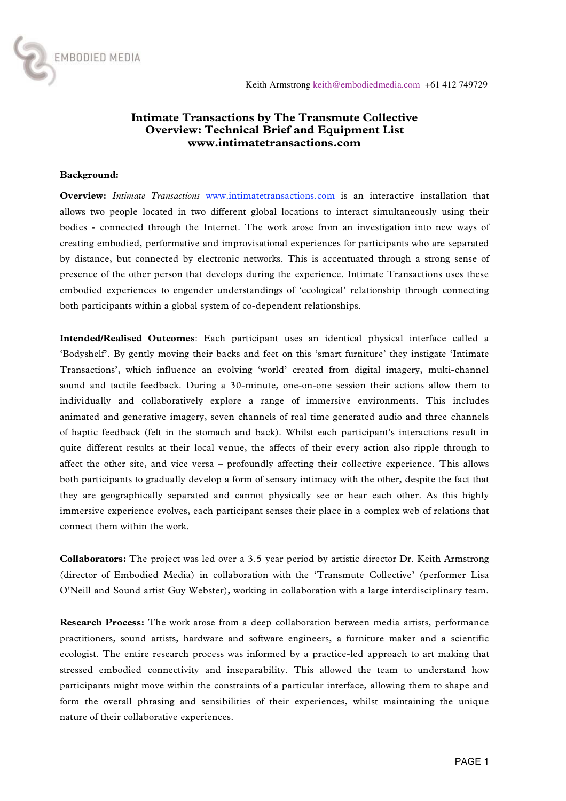

## **Intimate Transactions by The Transmute Collective Overview: Technical Brief and Equipment List www.intimatetransactions.com**

### **Background:**

**Overview:** *Intimate Transactions* www.intimatetransactions.com is an interactive installation that allows two people located in two different global locations to interact simultaneously using their bodies - connected through the Internet. The work arose from an investigation into new ways of creating embodied, performative and improvisational experiences for participants who are separated by distance, but connected by electronic networks. This is accentuated through a strong sense of presence of the other person that develops during the experience. Intimate Transactions uses these embodied experiences to engender understandings of 'ecological' relationship through connecting both participants within a global system of co-dependent relationships.

**Intended/Realised Outcomes**: Each participant uses an identical physical interface called a 'Bodyshelf'. By gently moving their backs and feet on this 'smart furniture' they instigate 'Intimate Transactions', which influence an evolving 'world' created from digital imagery, multi-channel sound and tactile feedback. During a 30-minute, one-on-one session their actions allow them to individually and collaboratively explore a range of immersive environments. This includes animated and generative imagery, seven channels of real time generated audio and three channels of haptic feedback (felt in the stomach and back). Whilst each participant's interactions result in quite different results at their local venue, the affects of their every action also ripple through to affect the other site, and vice versa – profoundly affecting their collective experience. This allows both participants to gradually develop a form of sensory intimacy with the other, despite the fact that they are geographically separated and cannot physically see or hear each other. As this highly immersive experience evolves, each participant senses their place in a complex web of relations that connect them within the work.

**Collaborators:** The project was led over a 3.5 year period by artistic director Dr. Keith Armstrong (director of Embodied Media) in collaboration with the 'Transmute Collective' (performer Lisa O'Neill and Sound artist Guy Webster), working in collaboration with a large interdisciplinary team.

**Research Process:** The work arose from a deep collaboration between media artists, performance practitioners, sound artists, hardware and software engineers, a furniture maker and a scientific ecologist. The entire research process was informed by a practice-led approach to art making that stressed embodied connectivity and inseparability. This allowed the team to understand how participants might move within the constraints of a particular interface, allowing them to shape and form the overall phrasing and sensibilities of their experiences, whilst maintaining the unique nature of their collaborative experiences.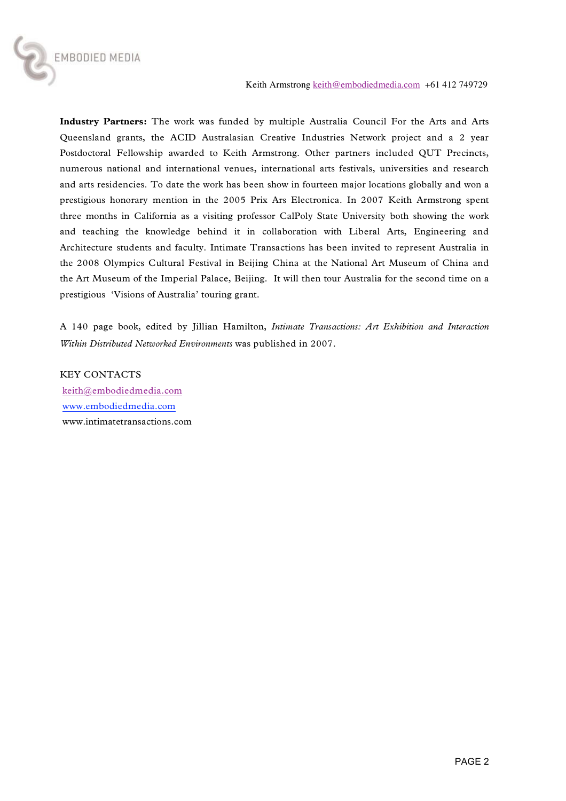

**Industry Partners:** The work was funded by multiple Australia Council For the Arts and Arts Queensland grants, the ACID Australasian Creative Industries Network project and a 2 year Postdoctoral Fellowship awarded to Keith Armstrong. Other partners included QUT Precincts, numerous national and international venues, international arts festivals, universities and research and arts residencies. To date the work has been show in fourteen major locations globally and won a prestigious honorary mention in the 2005 Prix Ars Electronica. In 2007 Keith Armstrong spent three months in California as a visiting professor CalPoly State University both showing the work and teaching the knowledge behind it in collaboration with Liberal Arts, Engineering and Architecture students and faculty. Intimate Transactions has been invited to represent Australia in the 2008 Olympics Cultural Festival in Beijing China at the National Art Museum of China and the Art Museum of the Imperial Palace, Beijing. It will then tour Australia for the second time on a prestigious 'Visions of Australia' touring grant.

A 140 page book, edited by Jillian Hamilton, *Intimate Transactions: Art Exhibition and Interaction Within Distributed Networked Environments* was published in 2007.

KEY CONTACTS keith@embodiedmedia.com www.embodiedmedia.com www.intimatetransactions.com

EMBODIED MEDIA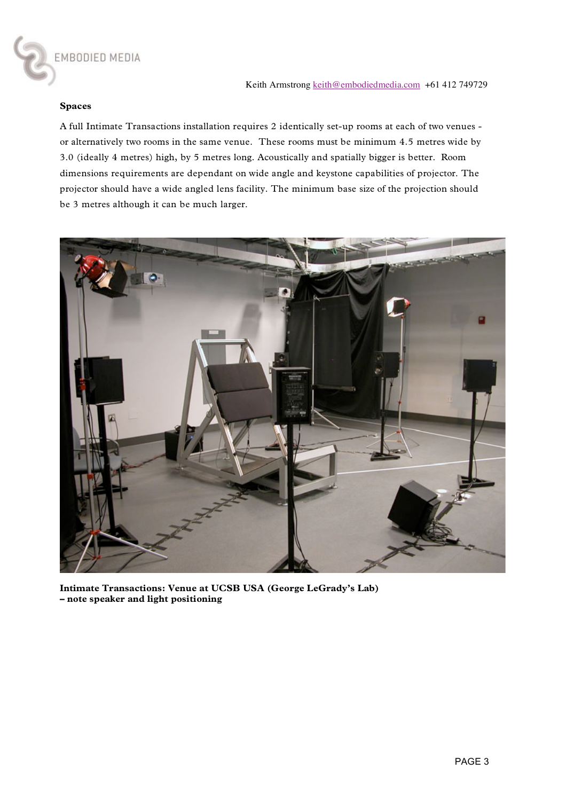

### **Spaces**

A full Intimate Transactions installation requires 2 identically set-up rooms at each of two venues or alternatively two rooms in the same venue. These rooms must be minimum 4.5 metres wide by 3.0 (ideally 4 metres) high, by 5 metres long. Acoustically and spatially bigger is better. Room dimensions requirements are dependant on wide angle and keystone capabilities of projector. The projector should have a wide angled lens facility. The minimum base size of the projection should be 3 metres although it can be much larger.



**Intimate Transactions: Venue at UCSB USA (George LeGrady's Lab) – note speaker and light positioning**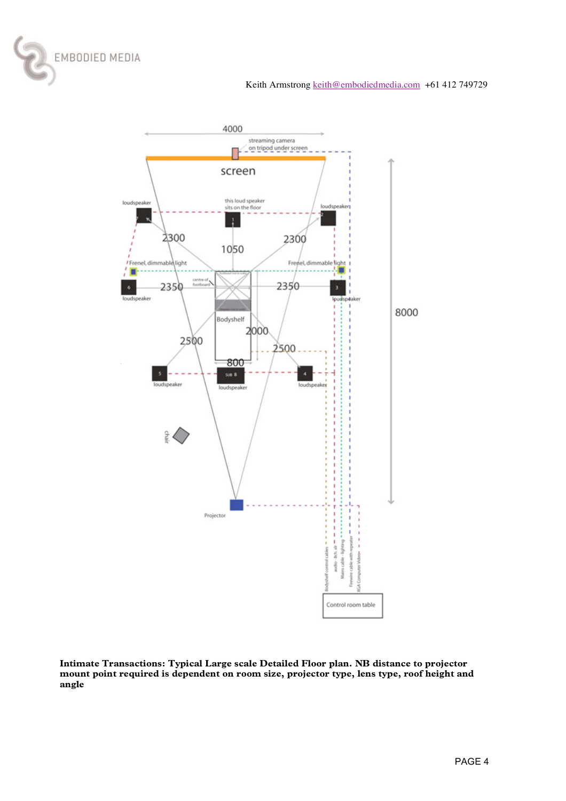



**Intimate Transactions: Typical Large scale Detailed Floor plan. NB distance to projector mount point required is dependent on room size, projector type, lens type, roof height and angle**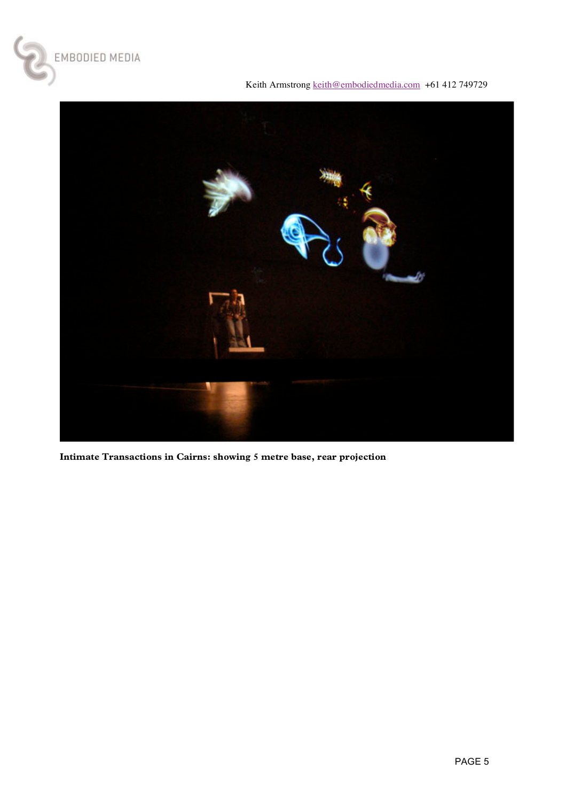

Keith Armstrong keith@embodiedmedia.com +61 412 749729



**Intimate Transactions in Cairns: showing 5 metre base, rear projection**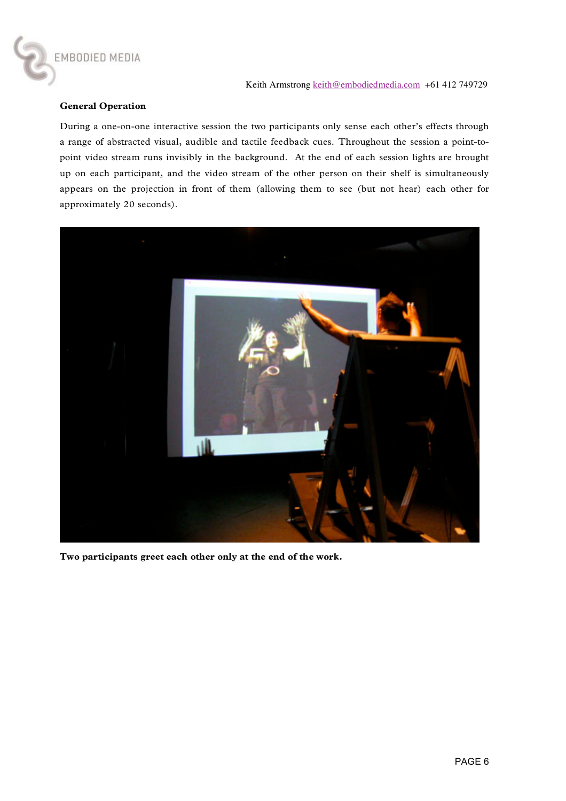### **General Operation**

EMBODIED MEDIA

During a one-on-one interactive session the two participants only sense each other's effects through a range of abstracted visual, audible and tactile feedback cues. Throughout the session a point-topoint video stream runs invisibly in the background. At the end of each session lights are brought up on each participant, and the video stream of the other person on their shelf is simultaneously appears on the projection in front of them (allowing them to see (but not hear) each other for approximately 20 seconds).



**Two participants greet each other only at the end of the work.**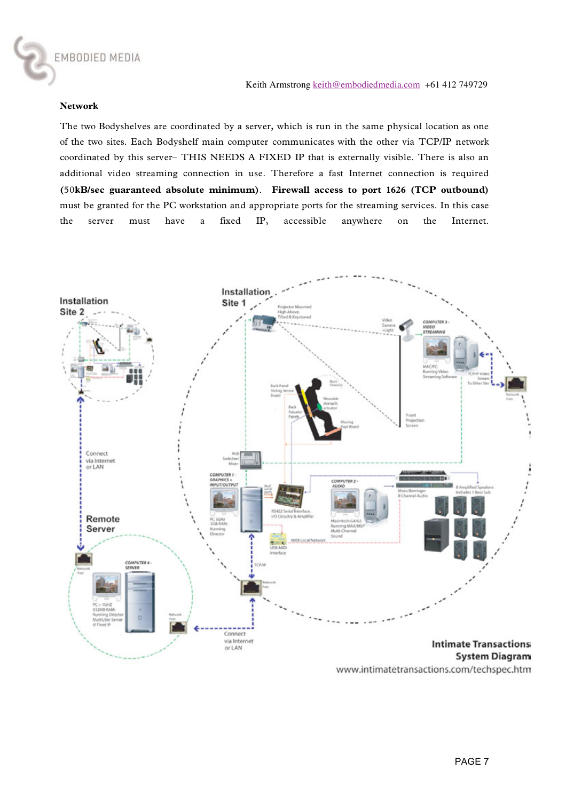#### **Network**

The two Bodyshelves are coordinated by a server, which is run in the same physical location as one of the two sites. Each Bodyshelf main computer communicates with the other via TCP/IP network coordinated by this server– THIS NEEDS A FIXED IP that is externally visible. There is also an additional video streaming connection in use. Therefore a fast Internet connection is required **(**50**kB/sec guaranteed absolute minimum)**. **Firewall access to port 1626 (TCP outbound)** must be granted for the PC workstation and appropriate ports for the streaming services. In this case the server must have a fixed IP, accessible anywhere on the Internet.



www.intimatetransactions.com/techspec.htm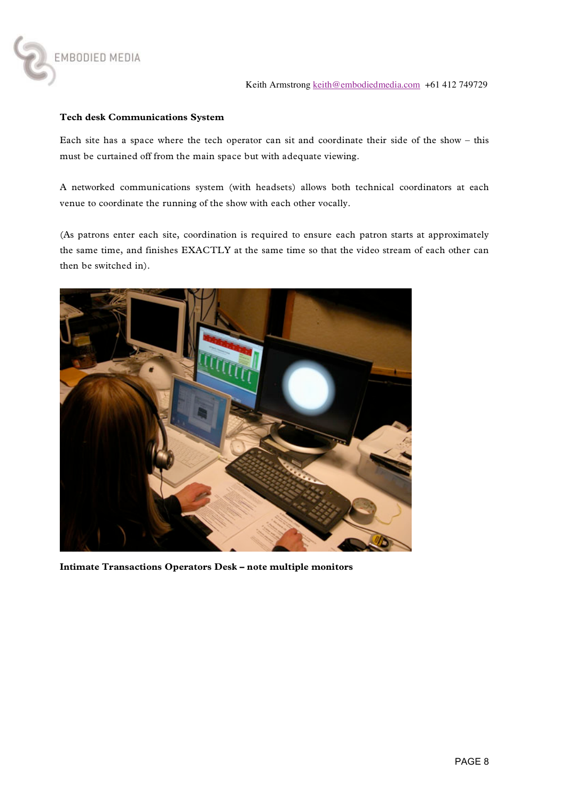

## **Tech desk Communications System**

EMBODIED MEDIA

Each site has a space where the tech operator can sit and coordinate their side of the show – this must be curtained off from the main space but with adequate viewing.

A networked communications system (with headsets) allows both technical coordinators at each venue to coordinate the running of the show with each other vocally.

(As patrons enter each site, coordination is required to ensure each patron starts at approximately the same time, and finishes EXACTLY at the same time so that the video stream of each other can then be switched in).



**Intimate Transactions Operators Desk – note multiple monitors**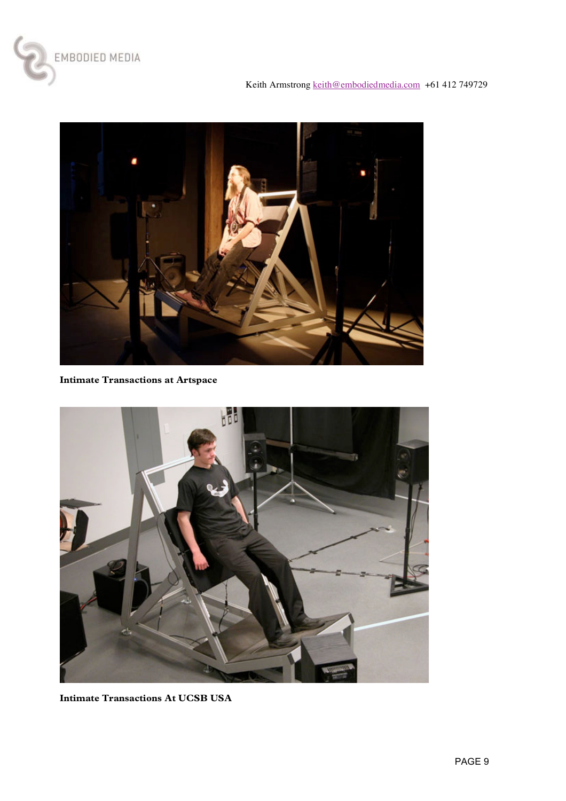



**Intimate Transactions at Artspace** 



**Intimate Transactions At UCSB USA**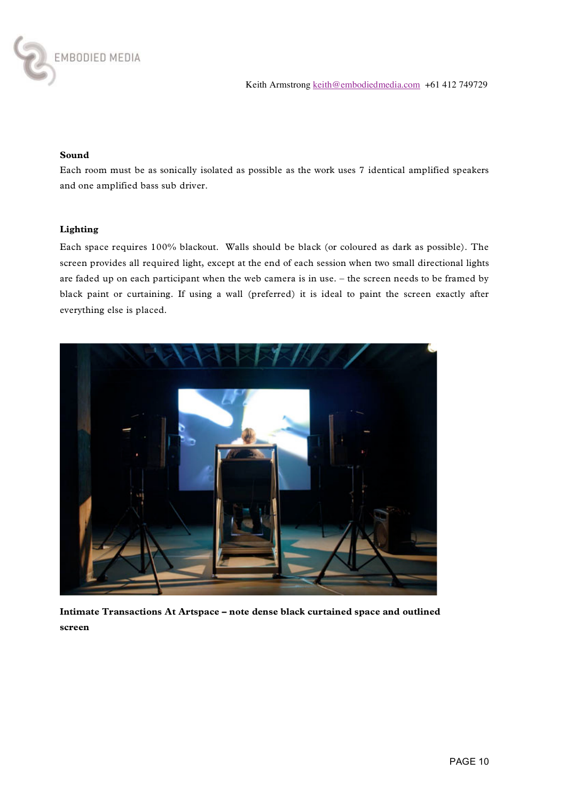

## **Sound**

Each room must be as sonically isolated as possible as the work uses 7 identical amplified speakers and one amplified bass sub driver.

### **Lighting**

Each space requires 100% blackout. Walls should be black (or coloured as dark as possible). The screen provides all required light, except at the end of each session when two small directional lights are faded up on each participant when the web camera is in use. – the screen needs to be framed by black paint or curtaining. If using a wall (preferred) it is ideal to paint the screen exactly after everything else is placed.



**Intimate Transactions At Artspace – note dense black curtained space and outlined screen**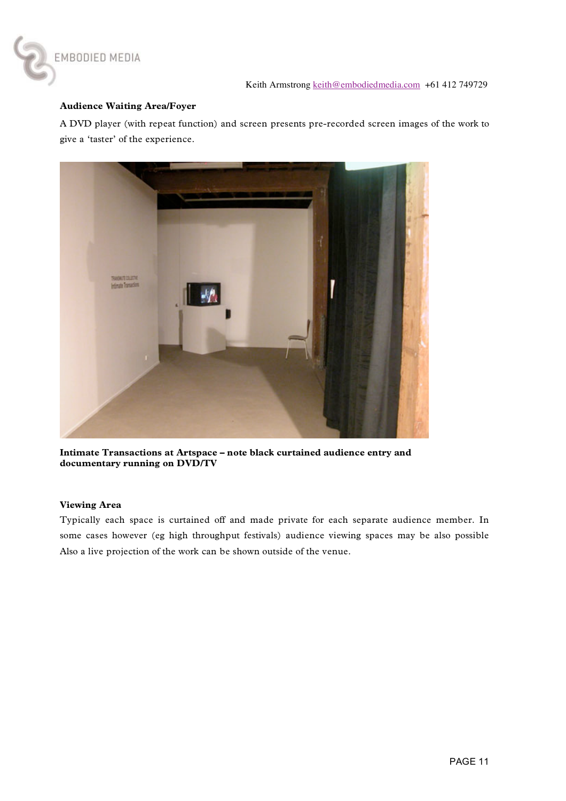

## **Audience Waiting Area/Foyer**

EMBODIED MEDIA

A DVD player (with repeat function) and screen presents pre-recorded screen images of the work to give a 'taster' of the experience.



**Intimate Transactions at Artspace – note black curtained audience entry and documentary running on DVD/TV**

### **Viewing Area**

Typically each space is curtained off and made private for each separate audience member. In some cases however (eg high throughput festivals) audience viewing spaces may be also possible Also a live projection of the work can be shown outside of the venue.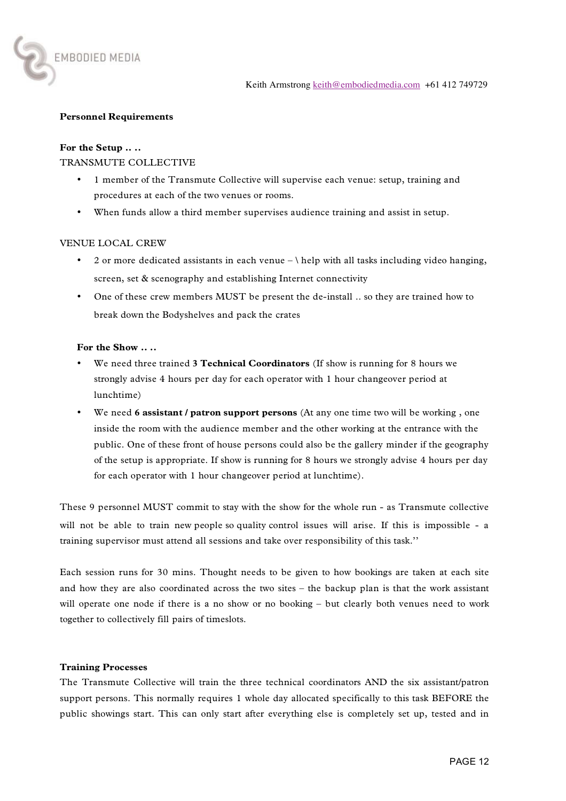### **Personnel Requirements**

#### **For the Setup .. ..**

EMBODIED MEDIA

### TRANSMUTE COLLECTIVE

- 1 member of the Transmute Collective will supervise each venue: setup, training and procedures at each of the two venues or rooms.
- When funds allow a third member supervises audience training and assist in setup.

### VENUE LOCAL CREW

- 2 or more dedicated assistants in each venue  $-\ \$ help with all tasks including video hanging, screen, set & scenography and establishing Internet connectivity
- One of these crew members MUST be present the de-install .. so they are trained how to break down the Bodyshelves and pack the crates

#### **For the Show .. ..**

- We need three trained **3 Technical Coordinators** (If show is running for 8 hours we strongly advise 4 hours per day for each operator with 1 hour changeover period at lunchtime)
- We need **6 assistant / patron support persons** (At any one time two will be working , one inside the room with the audience member and the other working at the entrance with the public. One of these front of house persons could also be the gallery minder if the geography of the setup is appropriate. If show is running for 8 hours we strongly advise 4 hours per day for each operator with 1 hour changeover period at lunchtime).

These 9 personnel MUST commit to stay with the show for the whole run - as Transmute collective will not be able to train new people so quality control issues will arise. If this is impossible - a training supervisor must attend all sessions and take over responsibility of this task.''

Each session runs for 30 mins. Thought needs to be given to how bookings are taken at each site and how they are also coordinated across the two sites – the backup plan is that the work assistant will operate one node if there is a no show or no booking – but clearly both venues need to work together to collectively fill pairs of timeslots.

#### **Training Processes**

The Transmute Collective will train the three technical coordinators AND the six assistant/patron support persons. This normally requires 1 whole day allocated specifically to this task BEFORE the public showings start. This can only start after everything else is completely set up, tested and in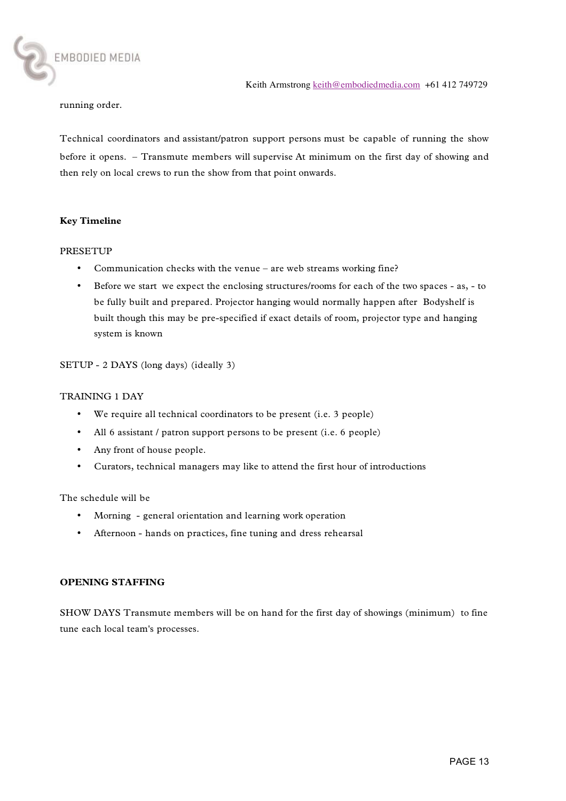running order.

EMBODIED MEDIA

Technical coordinators and assistant/patron support persons must be capable of running the show before it opens. – Transmute members will supervise At minimum on the first day of showing and then rely on local crews to run the show from that point onwards.

#### **Key Timeline**

#### PRESETUP

- Communication checks with the venue are web streams working fine?
- Before we start we expect the enclosing structures/rooms for each of the two spaces as, to be fully built and prepared. Projector hanging would normally happen after Bodyshelf is built though this may be pre-specified if exact details of room, projector type and hanging system is known

### SETUP - 2 DAYS (long days) (ideally 3)

#### TRAINING 1 DAY

- We require all technical coordinators to be present (i.e. 3 people)
- All 6 assistant / patron support persons to be present (i.e. 6 people)
- Any front of house people.
- Curators, technical managers may like to attend the first hour of introductions

The schedule will be

- Morning general orientation and learning work operation
- Afternoon hands on practices, fine tuning and dress rehearsal

#### **OPENING STAFFING**

SHOW DAYS Transmute members will be on hand for the first day of showings (minimum) to fine tune each local team's processes.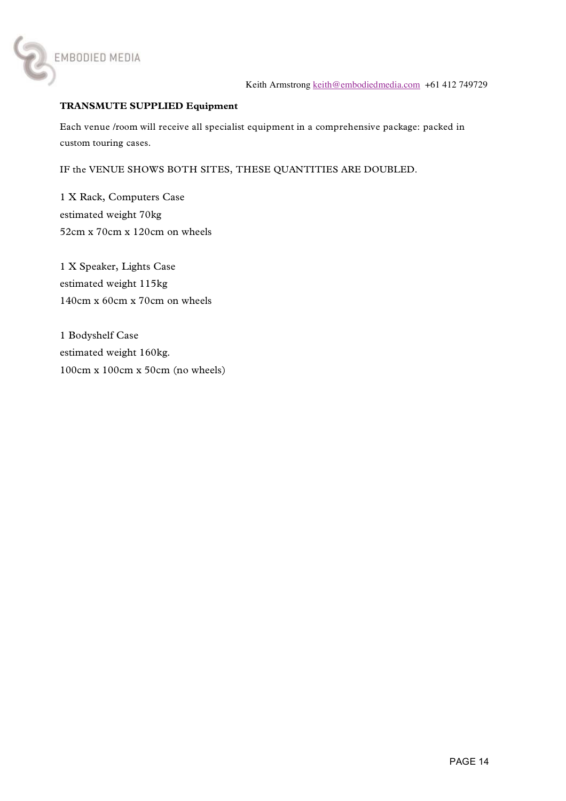

## **TRANSMUTE SUPPLIED Equipment**

Each venue /room will receive all specialist equipment in a comprehensive package: packed in custom touring cases.

IF the VENUE SHOWS BOTH SITES, THESE QUANTITIES ARE DOUBLED.

1 X Rack, Computers Case estimated weight 70kg 52cm x 70cm x 120cm on wheels

1 X Speaker, Lights Case estimated weight 115kg 140cm x 60cm x 70cm on wheels

1 Bodyshelf Case estimated weight 160kg. 100cm x 100cm x 50cm (no wheels)